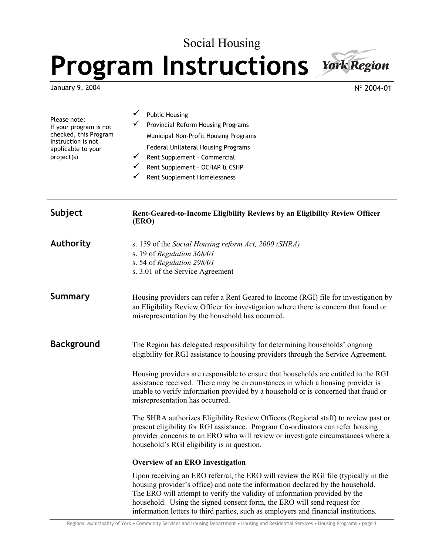# Social Housing **Program Instructions**



N° 2004-01

| Please note:<br>If your program is not<br>checked, this Program<br>Instruction is not<br>applicable to your<br>project(s) | <b>Public Housing</b><br>Provincial Reform Housing Programs<br>Municipal Non-Profit Housing Programs<br>Federal Unilateral Housing Programs<br>✓<br>Rent Supplement - Commercial<br>✓<br>Rent Supplement - OCHAP & CSHP<br>✓<br>Rent Supplement Homelessness                                                                  |  |  |  |
|---------------------------------------------------------------------------------------------------------------------------|-------------------------------------------------------------------------------------------------------------------------------------------------------------------------------------------------------------------------------------------------------------------------------------------------------------------------------|--|--|--|
| Subject                                                                                                                   | Rent-Geared-to-Income Eligibility Reviews by an Eligibility Review Officer<br>(ERO)                                                                                                                                                                                                                                           |  |  |  |
| <b>Authority</b>                                                                                                          | s. 159 of the Social Housing reform Act, 2000 (SHRA)<br>s. 19 of Regulation 368/01<br>s. 54 of Regulation 298/01<br>s. 3.01 of the Service Agreement                                                                                                                                                                          |  |  |  |
| <b>Summary</b>                                                                                                            | Housing providers can refer a Rent Geared to Income (RGI) file for investigation by<br>an Eligibility Review Officer for investigation where there is concern that fraud or<br>misrepresentation by the household has occurred.                                                                                               |  |  |  |
| <b>Background</b>                                                                                                         | The Region has delegated responsibility for determining households' ongoing<br>eligibility for RGI assistance to housing providers through the Service Agreement.<br>Housing providers are responsible to ensure that households are entitled to the RGI                                                                      |  |  |  |
|                                                                                                                           | assistance received. There may be circumstances in which a housing provider is<br>unable to verify information provided by a household or is concerned that fraud or<br>misrepresentation has occurred.                                                                                                                       |  |  |  |
|                                                                                                                           | The SHRA authorizes Eligibility Review Officers (Regional staff) to review past or<br>present eligibility for RGI assistance. Program Co-ordinators can refer housing<br>provider concerns to an ERO who will review or investigate circumstances where a<br>household's RGI eligibility is in question.                      |  |  |  |
|                                                                                                                           | Overview of an ERO Investigation                                                                                                                                                                                                                                                                                              |  |  |  |
|                                                                                                                           | Upon receiving an ERO referral, the ERO will review the RGI file (typically in the<br>housing provider's office) and note the information declared by the household.<br>The ERO will attempt to verify the validity of information provided by the<br>household. Using the signed consent form, the ERO will send request for |  |  |  |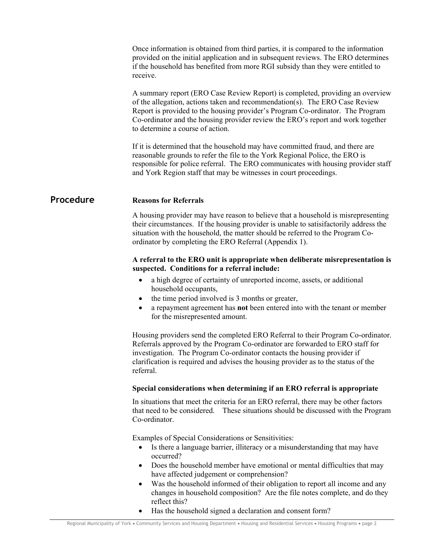Once information is obtained from third parties, it is compared to the information provided on the initial application and in subsequent reviews. The ERO determines if the household has benefited from more RGI subsidy than they were entitled to receive.

 A summary report (ERO Case Review Report) is completed, providing an overview of the allegation, actions taken and recommendation(s). The ERO Case Review Report is provided to the housing provider's Program Co-ordinator. The Program Co-ordinator and the housing provider review the ERO's report and work together to determine a course of action.

 If it is determined that the household may have committed fraud, and there are reasonable grounds to refer the file to the York Regional Police, the ERO is responsible for police referral. The ERO communicates with housing provider staff and York Region staff that may be witnesses in court proceedings.

# **Procedure Reasons for Referrals**

 A housing provider may have reason to believe that a household is misrepresenting their circumstances. If the housing provider is unable to satisifactorily address the situation with the household, the matter should be referred to the Program Coordinator by completing the ERO Referral (Appendix 1).

# **A referral to the ERO unit is appropriate when deliberate misrepresentation is suspected. Conditions for a referral include:**

- a high degree of certainty of unreported income, assets, or additional household occupants,
- the time period involved is 3 months or greater,
- a repayment agreement has **not** been entered into with the tenant or member for the misrepresented amount.

 Housing providers send the completed ERO Referral to their Program Co-ordinator. Referrals approved by the Program Co-ordinator are forwarded to ERO staff for investigation. The Program Co-ordinator contacts the housing provider if clarification is required and advises the housing provider as to the status of the referral.

# **Special considerations when determining if an ERO referral is appropriate**

 In situations that meet the criteria for an ERO referral, there may be other factors that need to be considered. These situations should be discussed with the Program Co-ordinator.

Examples of Special Considerations or Sensitivities:

- Is there a language barrier, illiteracy or a misunderstanding that may have occurred?
- Does the household member have emotional or mental difficulties that may have affected judgement or comprehension?
- Was the household informed of their obligation to report all income and any changes in household composition? Are the file notes complete, and do they reflect this?
- Has the household signed a declaration and consent form?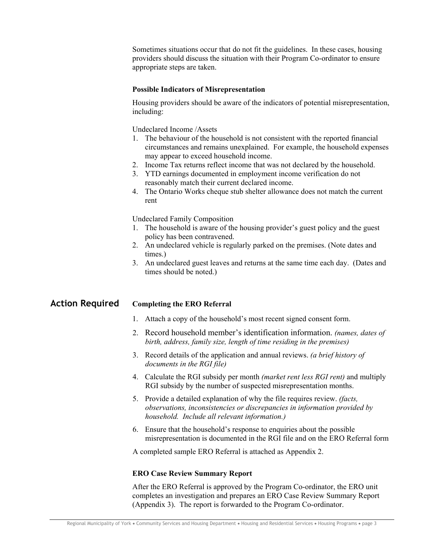Sometimes situations occur that do not fit the guidelines. In these cases, housing providers should discuss the situation with their Program Co-ordinator to ensure appropriate steps are taken.

# **Possible Indicators of Misrepresentation**

 Housing providers should be aware of the indicators of potential misrepresentation, including:

Undeclared Income /Assets

- 1. The behaviour of the household is not consistent with the reported financial circumstances and remains unexplained. For example, the household expenses may appear to exceed household income.
- 2. Income Tax returns reflect income that was not declared by the household.
- 3. YTD earnings documented in employment income verification do not reasonably match their current declared income.
- 4. The Ontario Works cheque stub shelter allowance does not match the current rent

Undeclared Family Composition

- 1. The household is aware of the housing provider's guest policy and the guest policy has been contravened.
- 2. An undeclared vehicle is regularly parked on the premises. (Note dates and times.)
- 3. An undeclared guest leaves and returns at the same time each day. (Dates and times should be noted.)

**Action Required Completing the ERO Referral** 

- 1. Attach a copy of the household's most recent signed consent form.
- 2. Record household member's identification information. *(names, dates of birth, address, family size, length of time residing in the premises)*
- 3. Record details of the application and annual reviews. *(a brief history of documents in the RGI file)*
- 4. Calculate the RGI subsidy per month *(market rent less RGI rent)* and multiply RGI subsidy by the number of suspected misrepresentation months.
- 5. Provide a detailed explanation of why the file requires review. *(facts, observations, inconsistencies or discrepancies in information provided by household. Include all relevant information.)*
- 6. Ensure that the household's response to enquiries about the possible misrepresentation is documented in the RGI file and on the ERO Referral form

A completed sample ERO Referral is attached as Appendix 2.

# **ERO Case Review Summary Report**

 After the ERO Referral is approved by the Program Co-ordinator, the ERO unit completes an investigation and prepares an ERO Case Review Summary Report (Appendix 3). The report is forwarded to the Program Co-ordinator.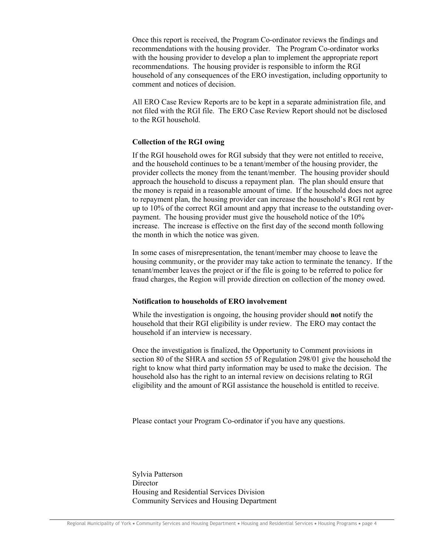Once this report is received, the Program Co-ordinator reviews the findings and recommendations with the housing provider. The Program Co-ordinator works with the housing provider to develop a plan to implement the appropriate report recommendations. The housing provider is responsible to inform the RGI household of any consequences of the ERO investigation, including opportunity to comment and notices of decision.

 All ERO Case Review Reports are to be kept in a separate administration file, and not filed with the RGI file. The ERO Case Review Report should not be disclosed to the RGI household.

# **Collection of the RGI owing**

 If the RGI household owes for RGI subsidy that they were not entitled to receive, and the household continues to be a tenant/member of the housing provider, the provider collects the money from the tenant/member. The housing provider should approach the household to discuss a repayment plan. The plan should ensure that the money is repaid in a reasonable amount of time. If the household does not agree to repayment plan, the housing provider can increase the household's RGI rent by up to 10% of the correct RGI amount and appy that increase to the outstanding overpayment. The housing provider must give the household notice of the 10% increase. The increase is effective on the first day of the second month following the month in which the notice was given.

 In some cases of misrepresentation, the tenant/member may choose to leave the housing community, or the provider may take action to terminate the tenancy. If the tenant/member leaves the project or if the file is going to be referred to police for fraud charges, the Region will provide direction on collection of the money owed.

# **Notification to households of ERO involvement**

 While the investigation is ongoing, the housing provider should **not** notify the household that their RGI eligibility is under review. The ERO may contact the household if an interview is necessary.

 Once the investigation is finalized, the Opportunity to Comment provisions in section 80 of the SHRA and section 55 of Regulation 298/01 give the household the right to know what third party information may be used to make the decision. The household also has the right to an internal review on decisions relating to RGI eligibility and the amount of RGI assistance the household is entitled to receive.

Please contact your Program Co-ordinator if you have any questions.

 Sylvia Patterson **Director**  Housing and Residential Services Division Community Services and Housing Department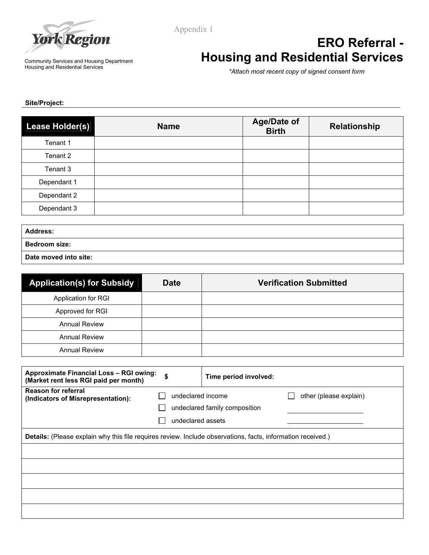

Appendix 1

#### Community Services and Housing Department Housing and Residential Services

# **ERO Referral - Housing and Residential Services**

*\*Attach most recent copy of signed consent form*

**Site/Project:** 

| Lease Holder(s) | <b>Name</b> | <b>Age/Date of</b><br><b>Birth</b> | <b>Relationship</b> |
|-----------------|-------------|------------------------------------|---------------------|
| Tenant 1        |             |                                    |                     |
| Tenant 2        |             |                                    |                     |
| Tenant 3        |             |                                    |                     |
| Dependant 1     |             |                                    |                     |
| Dependant 2     |             |                                    |                     |
| Dependant 3     |             |                                    |                     |

| <b>Address:</b>       |  |
|-----------------------|--|
| <b>Bedroom size:</b>  |  |
| Date moved into site: |  |

| <b>Application(s) for Subsidy</b> | <b>Date</b> | <b>Verification Submitted</b> |
|-----------------------------------|-------------|-------------------------------|
| Application for RGI               |             |                               |
| Approved for RGI                  |             |                               |
| <b>Annual Review</b>              |             |                               |
| <b>Annual Review</b>              |             |                               |
| <b>Annual Review</b>              |             |                               |

| <b>Approximate Financial Loss - RGI owing:</b><br>(Market rent less RGI paid per month)                     | \$                                     | Time period involved:         |                        |
|-------------------------------------------------------------------------------------------------------------|----------------------------------------|-------------------------------|------------------------|
| <b>Reason for referral</b><br>(Indicators of Misrepresentation):                                            | undeclared income<br>undeclared assets | undeclared family composition | other (please explain) |
| Details: (Please explain why this file requires review. Include observations, facts, information received.) |                                        |                               |                        |
|                                                                                                             |                                        |                               |                        |
|                                                                                                             |                                        |                               |                        |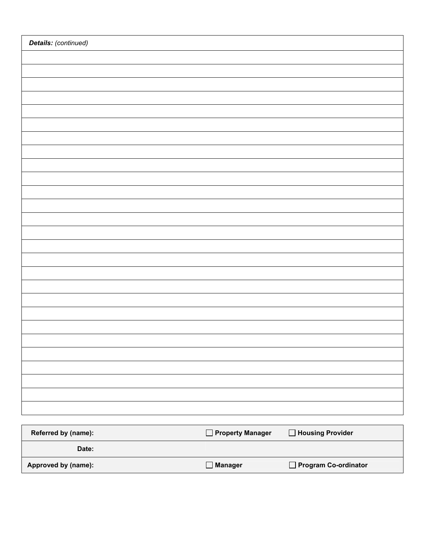| Details: (continued) |  |  |  |
|----------------------|--|--|--|
|                      |  |  |  |
|                      |  |  |  |
|                      |  |  |  |
|                      |  |  |  |
|                      |  |  |  |
|                      |  |  |  |
|                      |  |  |  |
|                      |  |  |  |
|                      |  |  |  |
|                      |  |  |  |
|                      |  |  |  |
|                      |  |  |  |
|                      |  |  |  |
|                      |  |  |  |
|                      |  |  |  |
|                      |  |  |  |
|                      |  |  |  |
|                      |  |  |  |
|                      |  |  |  |
|                      |  |  |  |
|                      |  |  |  |
|                      |  |  |  |
|                      |  |  |  |
|                      |  |  |  |
|                      |  |  |  |
|                      |  |  |  |
|                      |  |  |  |

| Referred by (name): | $\Box$ Property Manager | Housing Provider     |
|---------------------|-------------------------|----------------------|
| Date:               |                         |                      |
| Approved by (name): | $\Box$ Manager          | Program Co-ordinator |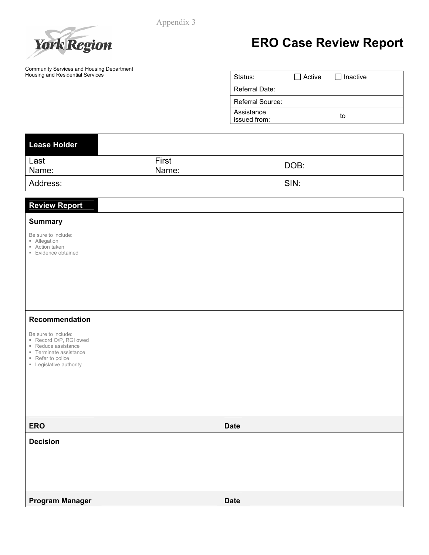Appendix 3



# **ERO Case Review Report**

Community Services and Housing Department Housing and Residential Services

| Status:                    | Active | I Inactive |  |
|----------------------------|--------|------------|--|
| Referral Date:             |        |            |  |
| Referral Source:           |        |            |  |
| Assistance<br>issued from: |        | tο         |  |

| Lease Holder  |                |      |
|---------------|----------------|------|
| Last<br>Name: | First<br>Name: | DOB: |
| Address:      |                | SIN: |

# **Review Report**

# **Summary**

Be sure to include:

- **Allegation**
- Action taken
- **Evidence obtained**

# **Recommendation**

Be sure to include:

- Record O/P, RGI owed
- Reduce assistance
- **Terminate assistance**
- Refer to police
- **Example 1** Legislative authority

**ERO** Date and the contract of the contract of the contract of the contract of the contract of the contract of the contract of the contract of the contract of the contract of the contract of the contract of the contract of **Decision Program Manager Date** Date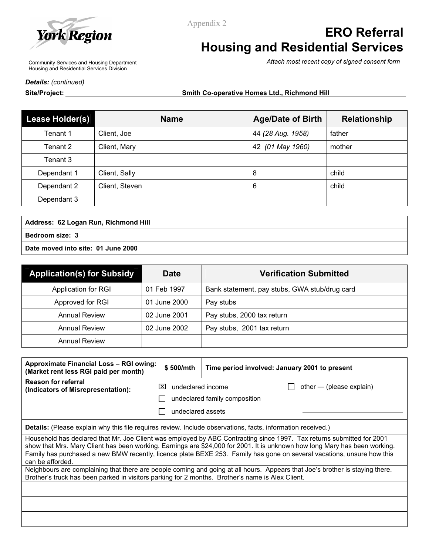

Appendix 2

# **ERO Referral Housing and Residential Services**

*Attach most recent copy of signed consent form*

Community Services and Housing Department Housing and Residential Services Division

*Details: (continued)* 

**Site/Project: Smith Co-operative Homes Ltd., Richmond Hill** 

| Lease Holder(s) | <b>Name</b>    | <b>Age/Date of Birth</b> | <b>Relationship</b> |
|-----------------|----------------|--------------------------|---------------------|
| Tenant 1        | Client, Joe    | 44 (28 Aug. 1958)        | father              |
| Tenant 2        | Client, Mary   | 42 (01 May 1960)         | mother              |
| Tenant 3        |                |                          |                     |
| Dependant 1     | Client, Sally  | 8                        | child               |
| Dependant 2     | Client, Steven | 6                        | child               |
| Dependant 3     |                |                          |                     |

**Address: 62 Logan Run, Richmond Hill Bedroom size: 3** 

**Date moved into site: 01 June 2000** 

| <b>Application(s) for Subsidy</b> | <b>Date</b>  | <b>Verification Submitted</b>                 |
|-----------------------------------|--------------|-----------------------------------------------|
| Application for RGI               | 01 Feb 1997  | Bank statement, pay stubs, GWA stub/drug card |
| Approved for RGI                  | 01 June 2000 | Pay stubs                                     |
| <b>Annual Review</b>              | 02 June 2001 | Pay stubs, 2000 tax return                    |
| <b>Annual Review</b>              | 02 June 2002 | Pay stubs, 2001 tax return                    |
| <b>Annual Review</b>              |              |                                               |

| Approximate Financial Loss – RGI owing:<br>(Market rent less RGI paid per month)                 | \$500/mth                | Time period involved: January 2001 to present                                                                                                                                                                                                       |
|--------------------------------------------------------------------------------------------------|--------------------------|-----------------------------------------------------------------------------------------------------------------------------------------------------------------------------------------------------------------------------------------------------|
| <b>Reason for referral</b><br>(Indicators of Misrepresentation):                                 | undeclared income<br>IXI | other — (please explain)                                                                                                                                                                                                                            |
|                                                                                                  |                          | undeclared family composition                                                                                                                                                                                                                       |
|                                                                                                  | undeclared assets        |                                                                                                                                                                                                                                                     |
|                                                                                                  |                          | Details: (Please explain why this file requires review. Include observations, facts, information received.)                                                                                                                                         |
|                                                                                                  |                          | Household has declared that Mr. Joe Client was employed by ABC Contracting since 1997. Tax returns submitted for 2001<br>show that Mrs. Mary Client has been working. Earnings are \$24,000 for 2001. It is unknown how long Mary has been working. |
| can be afforded.                                                                                 |                          | Family has purchased a new BMW recently, licence plate BEXE 253. Family has gone on several vacations, unsure how this                                                                                                                              |
| Brother's truck has been parked in visitors parking for 2 months. Brother's name is Alex Client. |                          | Neighbours are complaining that there are people coming and going at all hours. Appears that Joe's brother is staying there.                                                                                                                        |
|                                                                                                  |                          |                                                                                                                                                                                                                                                     |
|                                                                                                  |                          |                                                                                                                                                                                                                                                     |
|                                                                                                  |                          |                                                                                                                                                                                                                                                     |